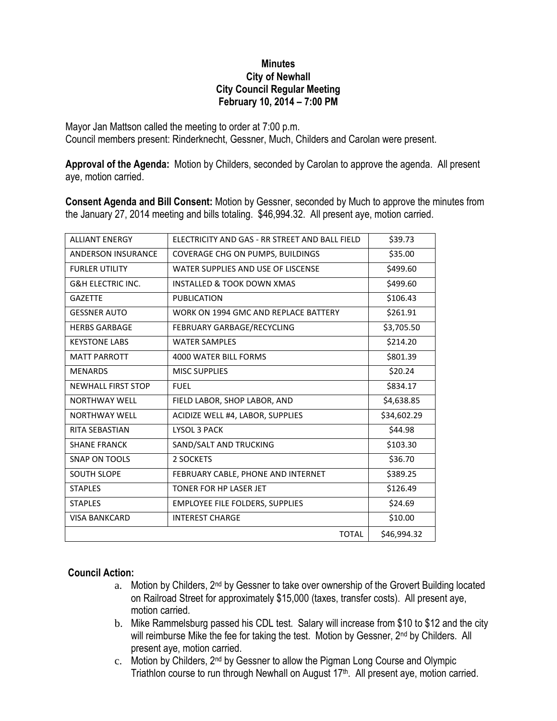## **Minutes City of Newhall City Council Regular Meeting February 10, 2014 – 7:00 PM**

Mayor Jan Mattson called the meeting to order at 7:00 p.m. Council members present: Rinderknecht, Gessner, Much, Childers and Carolan were present.

**Approval of the Agenda:** Motion by Childers, seconded by Carolan to approve the agenda. All present aye, motion carried.

**Consent Agenda and Bill Consent:** Motion by Gessner, seconded by Much to approve the minutes from the January 27, 2014 meeting and bills totaling. \$46,994.32. All present aye, motion carried.

| <b>ALLIANT ENERGY</b>        | ELECTRICITY AND GAS - RR STREET AND BALL FIELD | \$39.73     |
|------------------------------|------------------------------------------------|-------------|
| <b>ANDERSON INSURANCE</b>    | COVERAGE CHG ON PUMPS, BUILDINGS               | \$35.00     |
| <b>FURLER UTILITY</b>        | WATER SUPPLIES AND USE OF LISCENSE             | \$499.60    |
| <b>G&amp;H ELECTRIC INC.</b> | <b>INSTALLED &amp; TOOK DOWN XMAS</b>          | \$499.60    |
| <b>GAZETTE</b>               | PUBLICATION                                    | \$106.43    |
| <b>GESSNER AUTO</b>          | WORK ON 1994 GMC AND REPLACE BATTERY           | \$261.91    |
| <b>HERBS GARBAGE</b>         | FEBRUARY GARBAGE/RECYCLING                     | \$3,705.50  |
| <b>KEYSTONE LABS</b>         | <b>WATER SAMPLES</b>                           | \$214.20    |
| <b>MATT PARROTT</b>          | 4000 WATER BILL FORMS                          | \$801.39    |
| <b>MENARDS</b>               | <b>MISC SUPPLIES</b>                           | \$20.24     |
| <b>NEWHALL FIRST STOP</b>    | <b>FUEL</b>                                    | \$834.17    |
| <b>NORTHWAY WELL</b>         | FIELD LABOR, SHOP LABOR, AND                   | \$4,638.85  |
| <b>NORTHWAY WELL</b>         | ACIDIZE WELL #4, LABOR, SUPPLIES               | \$34,602.29 |
| <b>RITA SEBASTIAN</b>        | LYSOL 3 PACK                                   | \$44.98     |
| <b>SHANE FRANCK</b>          | SAND/SALT AND TRUCKING                         | \$103.30    |
| <b>SNAP ON TOOLS</b>         | 2 SOCKETS                                      | \$36.70     |
| <b>SOUTH SLOPE</b>           | FEBRUARY CABLE, PHONE AND INTERNET             | \$389.25    |
| <b>STAPLES</b>               | TONER FOR HP LASER JET                         | \$126.49    |
| <b>STAPLES</b>               | <b>EMPLOYEE FILE FOLDERS, SUPPLIES</b>         | \$24.69     |
| <b>VISA BANKCARD</b>         | <b>INTEREST CHARGE</b>                         | \$10.00     |
|                              | <b>TOTAL</b>                                   | \$46,994.32 |

## **Council Action:**

- a. Motion by Childers, 2<sup>nd</sup> by Gessner to take over ownership of the Grovert Building located on Railroad Street for approximately \$15,000 (taxes, transfer costs). All present aye, motion carried.
- b. Mike Rammelsburg passed his CDL test. Salary will increase from \$10 to \$12 and the city will reimburse Mike the fee for taking the test. Motion by Gessner, 2<sup>nd</sup> by Childers. All present aye, motion carried.
- c. Motion by Childers, 2nd by Gessner to allow the Pigman Long Course and Olympic Triathlon course to run through Newhall on August 17<sup>th</sup>. All present aye, motion carried.